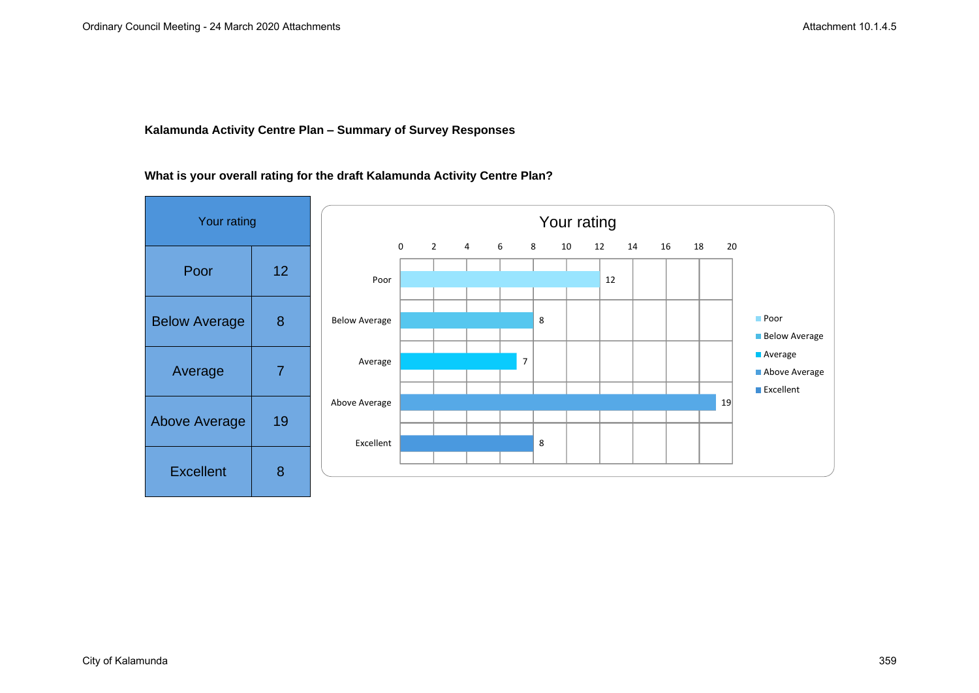### **Kalamunda Activity Centre Plan – Summary of Survey Responses**

# **What is your overall rating for the draft Kalamunda Activity Centre Plan?**

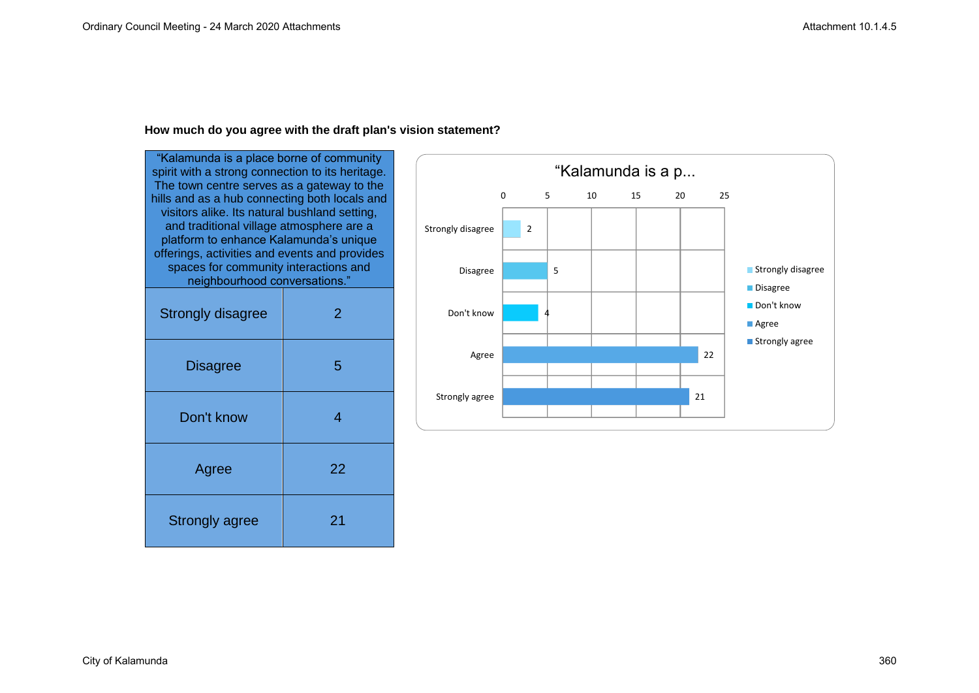#### **How much do you agree with the draft plan's vision statement?**

"Kalamunda is a place borne of community spirit with a strong connection to its heritage. The town centre serves as a gateway to the hills and as a hub connecting both locals and visitors alike. Its natural bushland setting, and traditional village atmosphere are a platform to enhance Kalamunda's unique offerings, activities and events and provides spaces for community interactions and neighbourhood conversations." Strongly disagree 2 Disagree | 5 Don't know 1 4 Agree 22 Strongly agree | 21

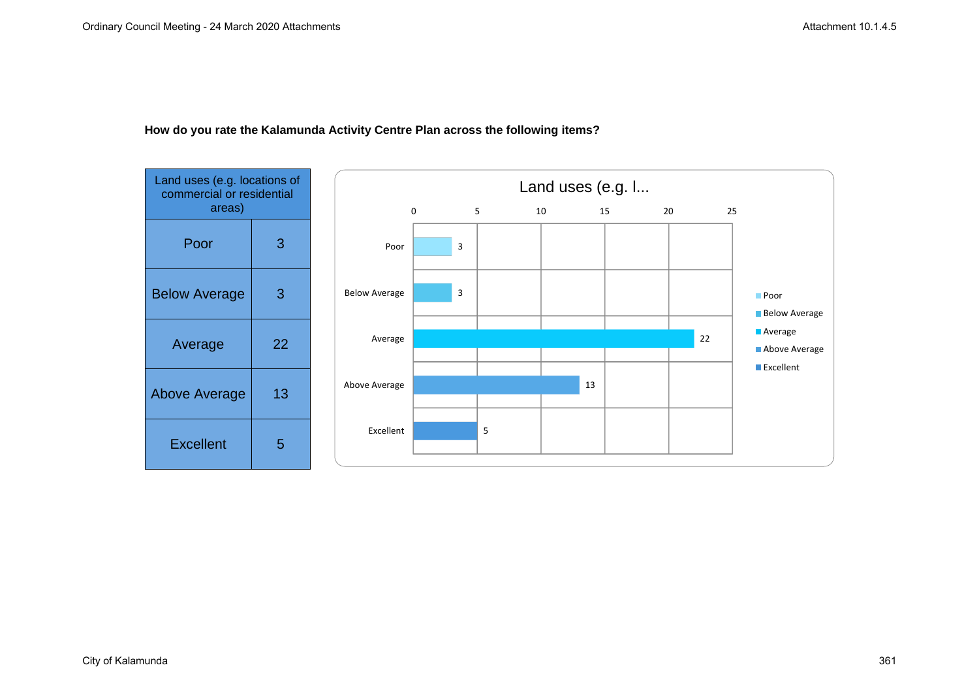

### **How do you rate the Kalamunda Activity Centre Plan across the following items?**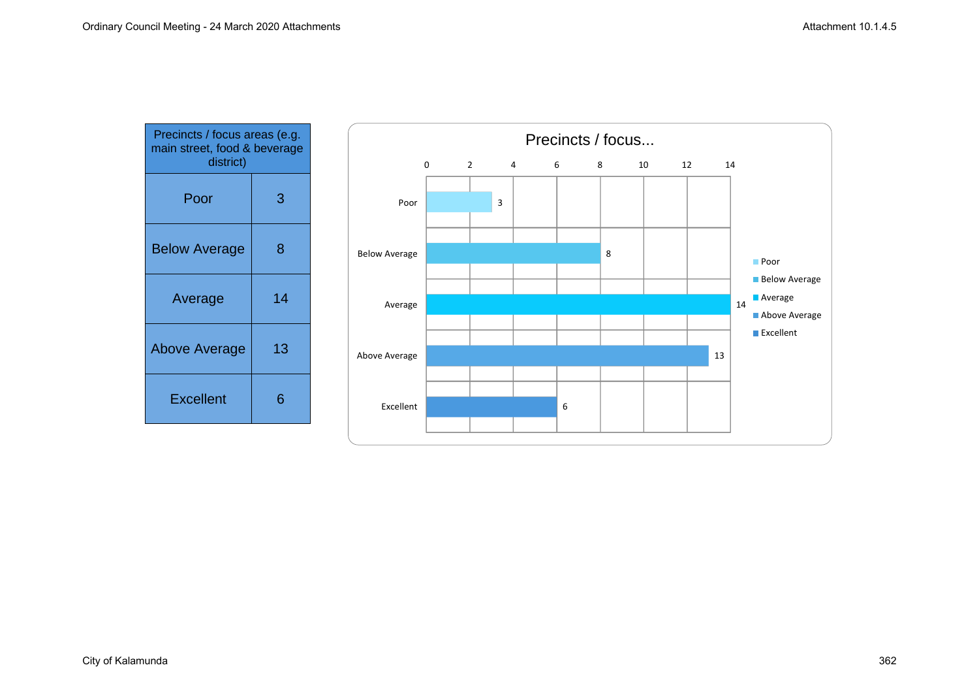| Precincts / focus areas (e.g.<br>main street, food & beverage<br>district) |    |
|----------------------------------------------------------------------------|----|
| Poor                                                                       | 3  |
| <b>Below Average</b>                                                       | 8  |
| Average                                                                    | 14 |
| <b>Above Average</b>                                                       | 13 |
| <b>Excellent</b>                                                           | 6  |

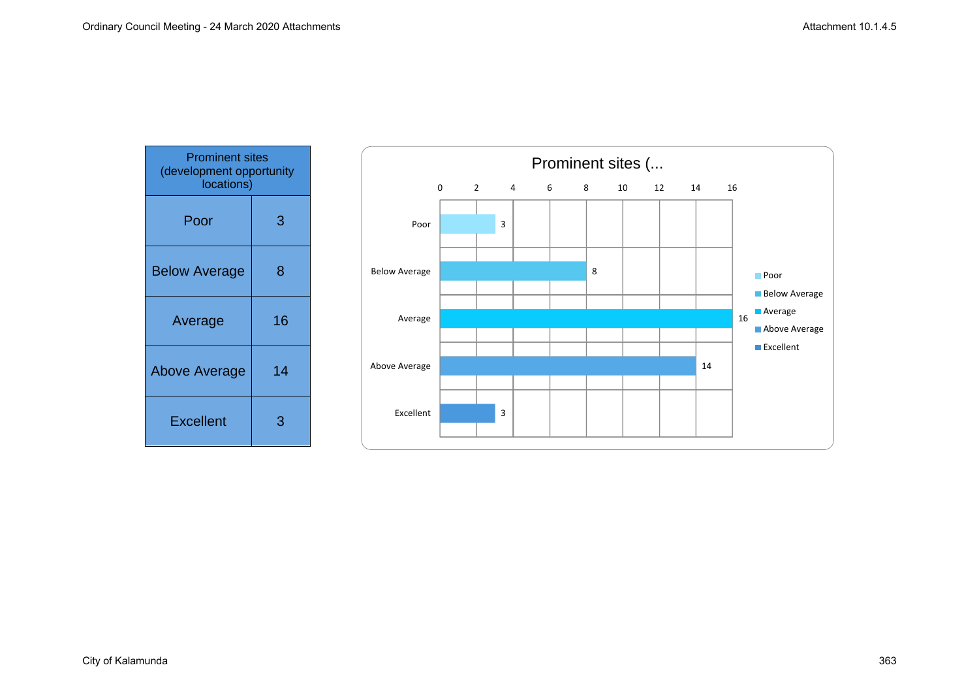| <b>Prominent sites</b><br>(development opportunity<br>locations) |    |
|------------------------------------------------------------------|----|
| Poor                                                             | 3  |
| <b>Below Average</b>                                             | 8  |
| Average                                                          | 16 |
| <b>Above Average</b>                                             | 14 |
| <b>Excellent</b>                                                 | З  |

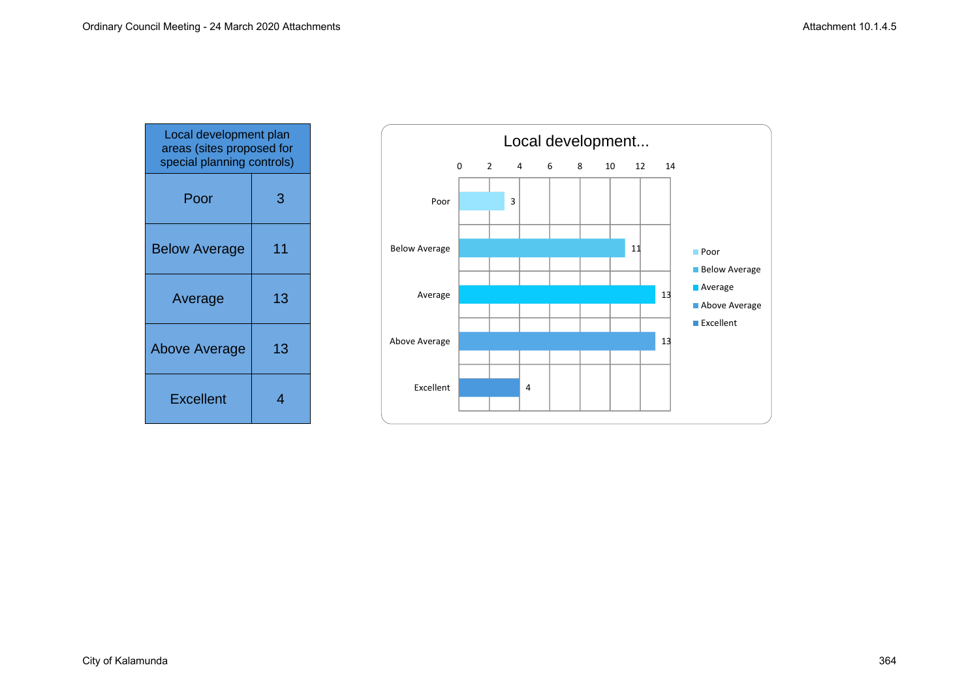| Local development plan<br>areas (sites proposed for<br>special planning controls) |    |
|-----------------------------------------------------------------------------------|----|
| Poor                                                                              | 3  |
| <b>Below Average</b>                                                              | 11 |
| Average                                                                           | 13 |
| <b>Above Average</b>                                                              | 13 |
| <b>Excellent</b>                                                                  | 4  |

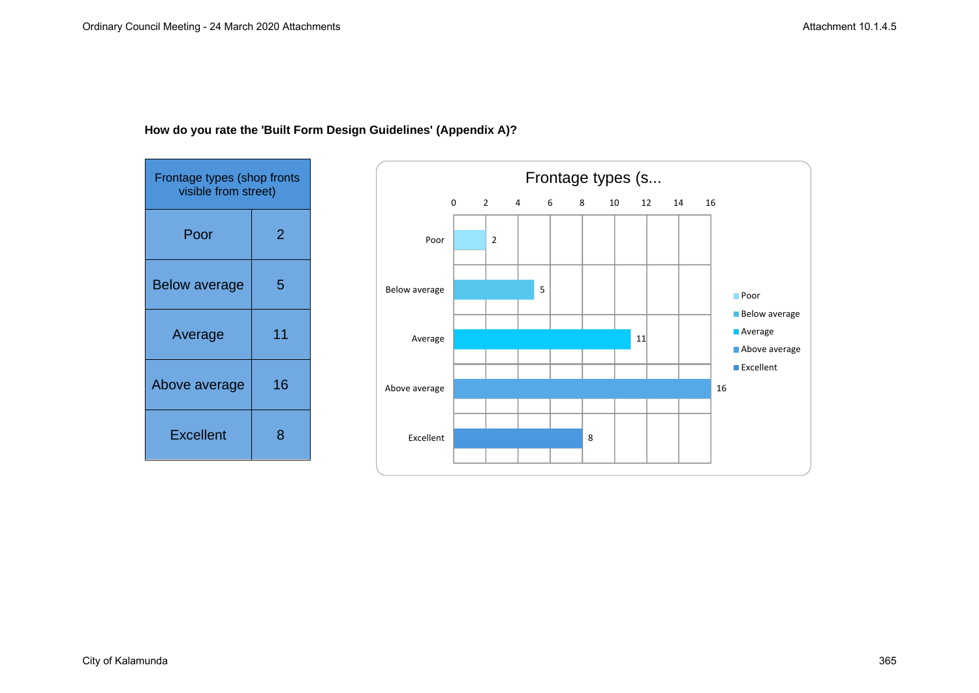

# **How do you rate the 'Built Form Design Guidelines' (Appendix A)?**

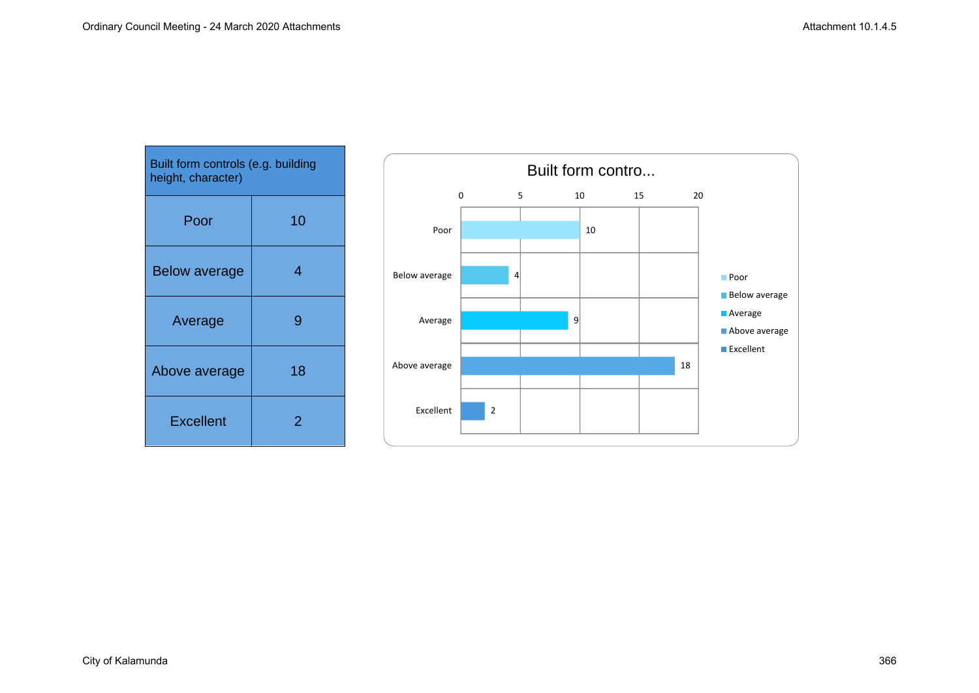| Built form controls (e.g. building<br>height, character) |    |
|----------------------------------------------------------|----|
| Poor                                                     | 10 |
| <b>Below average</b>                                     | 4  |
| Average                                                  | g  |
| Above average                                            | 18 |
| <b>Excellent</b>                                         | 2  |

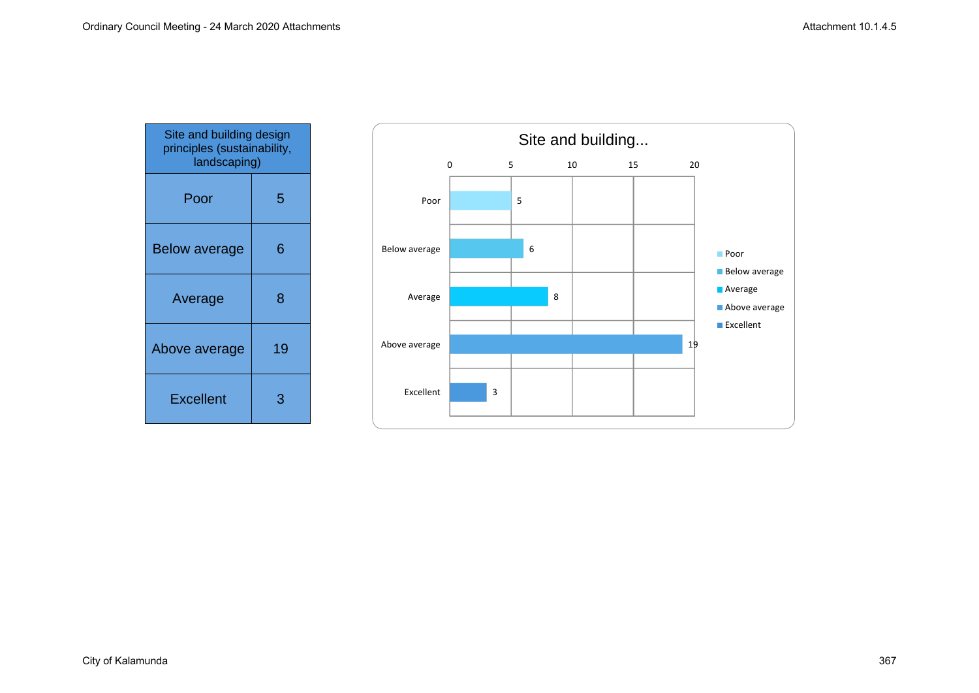| Site and building design<br>principles (sustainability,<br>landscaping) |    |
|-------------------------------------------------------------------------|----|
| Poor                                                                    | 5  |
| <b>Below average</b>                                                    | 6  |
| Average                                                                 | 8  |
| Above average                                                           | 19 |
| <b>Excellent</b>                                                        | 3  |

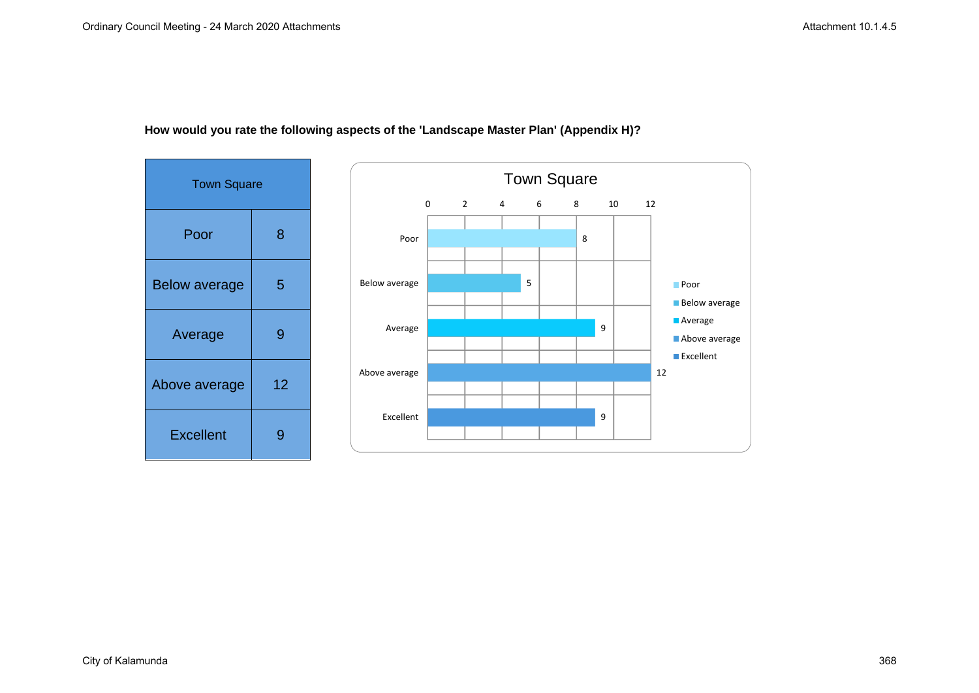

# **How would you rate the following aspects of the 'Landscape Master Plan' (Appendix H)?**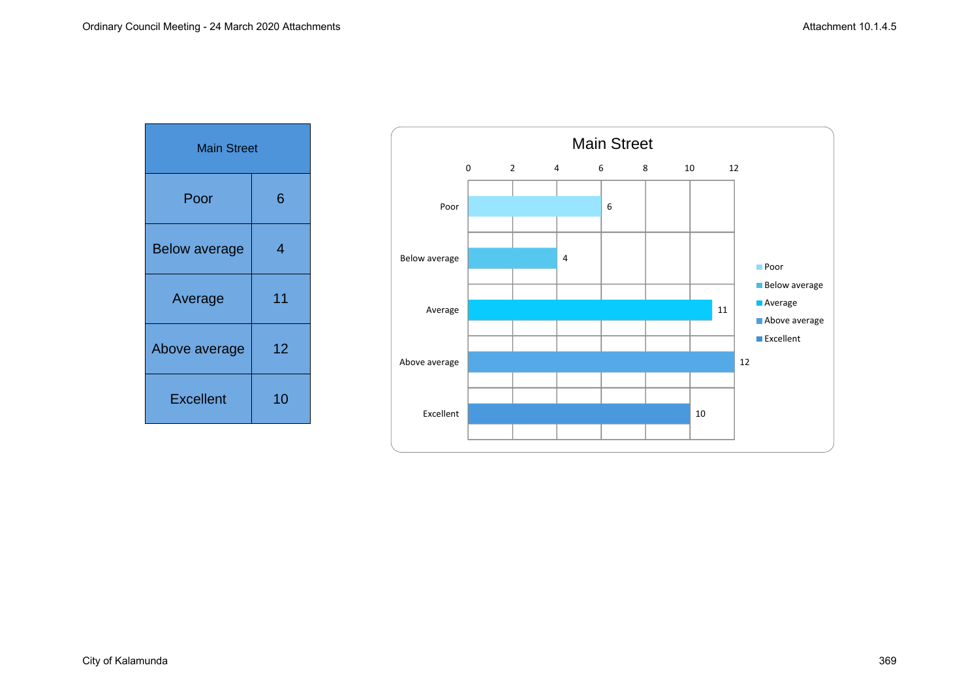| <b>Main Street</b>   |    |
|----------------------|----|
| Poor                 | 6  |
| <b>Below average</b> | 4  |
| Average              | 11 |
| Above average        | 12 |
| <b>Excellent</b>     | 10 |

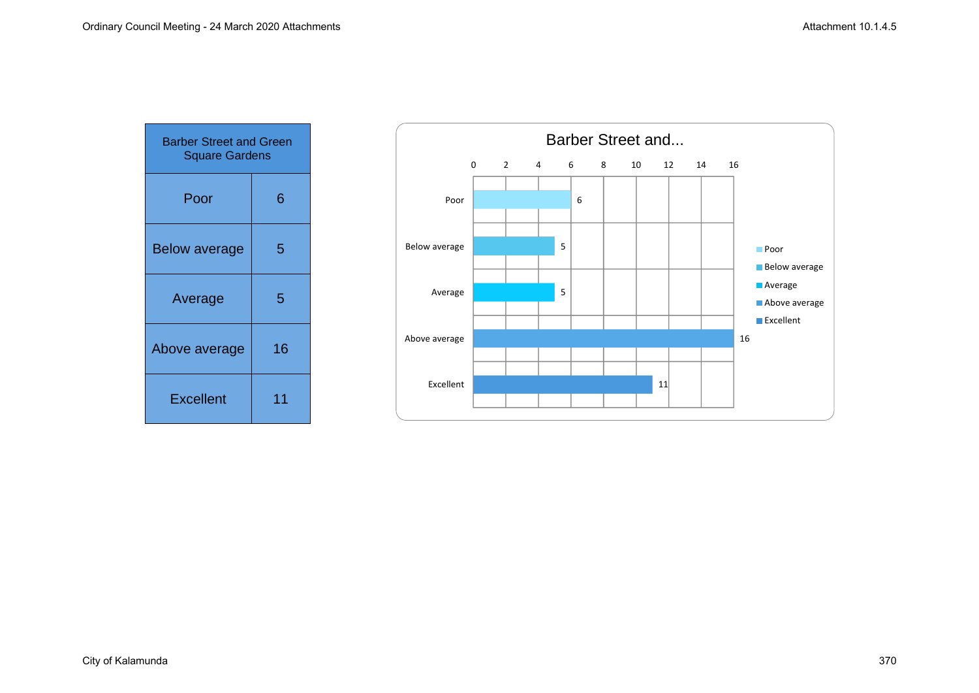| <b>Barber Street and Green</b><br><b>Square Gardens</b> |    |
|---------------------------------------------------------|----|
| Poor                                                    | 6  |
| <b>Below average</b>                                    | 5  |
| Average                                                 | 5  |
| Above average                                           | 16 |
| <b>Excellent</b>                                        | 11 |

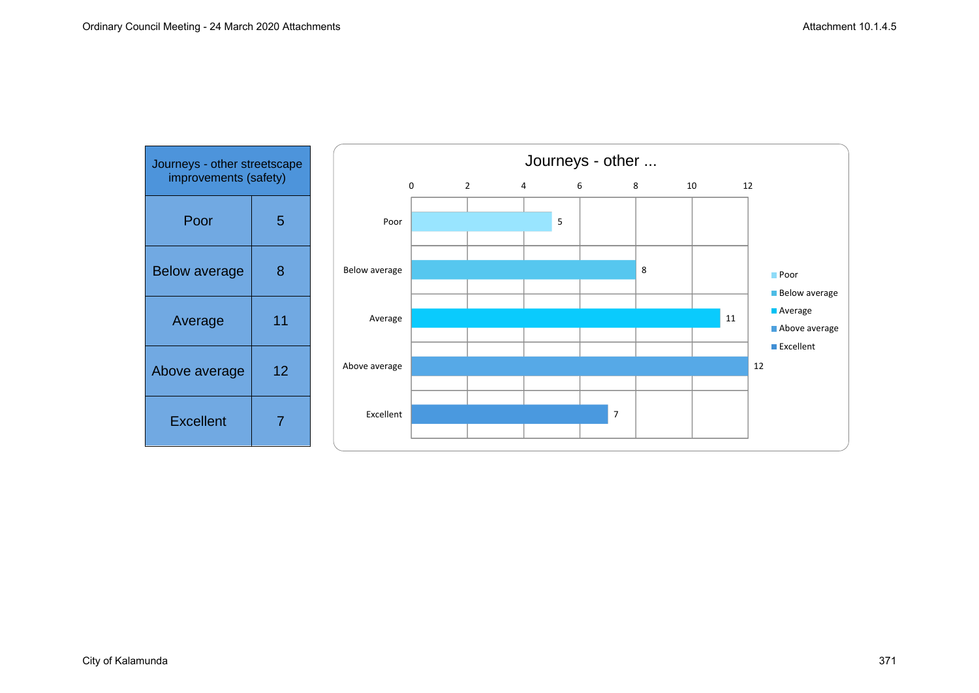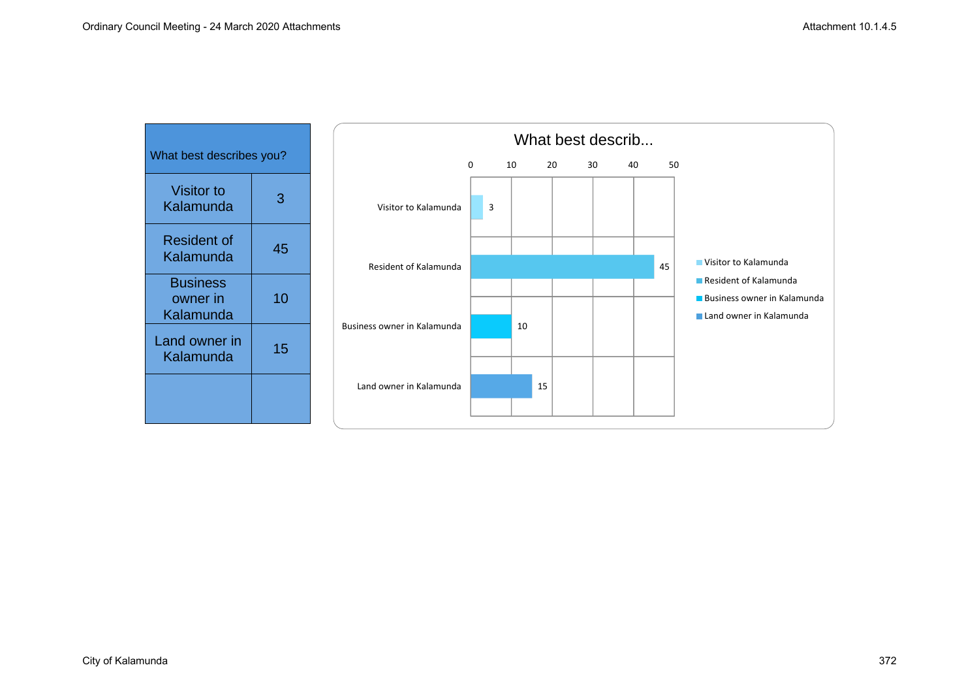| What best describes you?                 |    |  |
|------------------------------------------|----|--|
| Visitor to<br>Kalamunda                  | З  |  |
| <b>Resident of</b><br>Kalamunda          | 45 |  |
| <b>Business</b><br>owner in<br>Kalamunda | 10 |  |
| Land owner in<br>Kalamunda               | 15 |  |
|                                          |    |  |

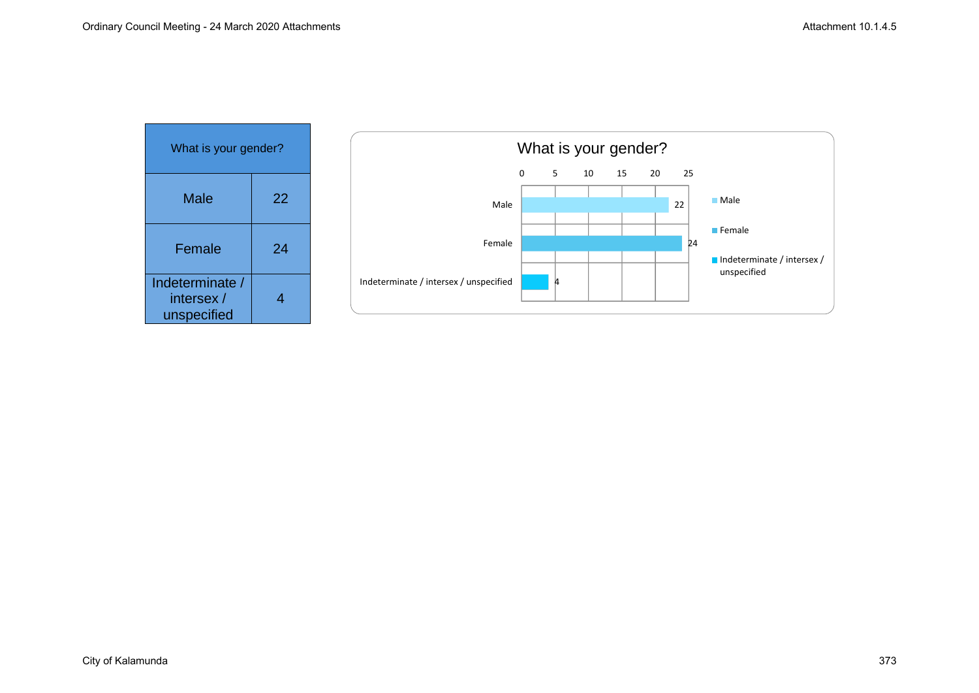